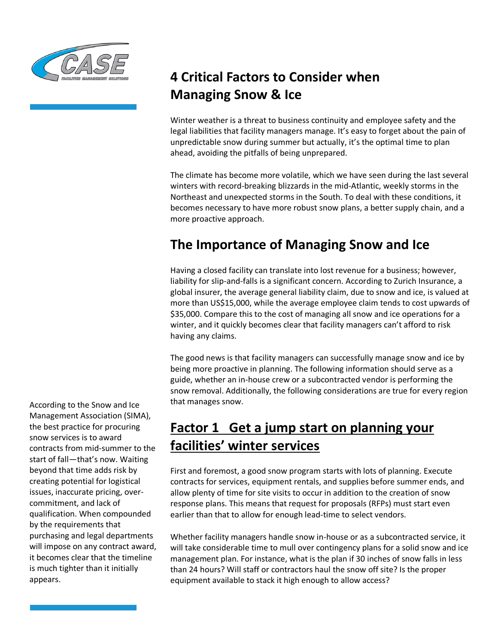

# **4 Critical Factors to Consider when Managing Snow & Ice**

Winter weather is a threat to business continuity and employee safety and the legal liabilities that facility managers manage. It's easy to forget about the pain of unpredictable snow during summer but actually, it's the optimal time to plan ahead, avoiding the pitfalls of being unprepared.

The climate has become more volatile, which we have seen during the last several winters with record-breaking blizzards in the mid-Atlantic, weekly storms in the Northeast and unexpected storms in the South. To deal with these conditions, it becomes necessary to have more robust snow plans, a better supply chain, and a more proactive approach.

### **The Importance of Managing Snow and Ice**

Having a closed facility can translate into lost revenue for a business; however, liability for slip-and-falls is a significant concern. According to Zurich Insurance, a global insurer, the average general liability claim, due to snow and ice, is valued at more than US\$15,000, while the average employee claim tends to cost upwards of \$35,000. Compare this to the cost of managing all snow and ice operations for a winter, and it quickly becomes clear that facility managers can't afford to risk having any claims.

The good news is that facility managers can successfully manage snow and ice by being more proactive in planning. The following information should serve as a guide, whether an in-house crew or a subcontracted vendor is performing the snow removal. Additionally, the following considerations are true for every region that manages snow.

### **Factor 1 Get a jump start on planning your facilities' winter services**

First and foremost, a good snow program starts with lots of planning. Execute contracts for services, equipment rentals, and supplies before summer ends, and allow plenty of time for site visits to occur in addition to the creation of snow response plans. This means that request for proposals (RFPs) must start even earlier than that to allow for enough lead-time to select vendors.

Whether facility managers handle snow in-house or as a subcontracted service, it will take considerable time to mull over contingency plans for a solid snow and ice management plan. For instance, what is the plan if 30 inches of snow falls in less than 24 hours? Will staff or contractors haul the snow off site? Is the proper equipment available to stack it high enough to allow access?

According to the Snow and Ice Management Association (SIMA), the best practice for procuring snow services is to award contracts from mid-summer to the start of fall—that's now. Waiting beyond that time adds risk by creating potential for logistical issues, inaccurate pricing, overcommitment, and lack of qualification. When compounded by the requirements that purchasing and legal departments will impose on any contract award, it becomes clear that the timeline is much tighter than it initially appears.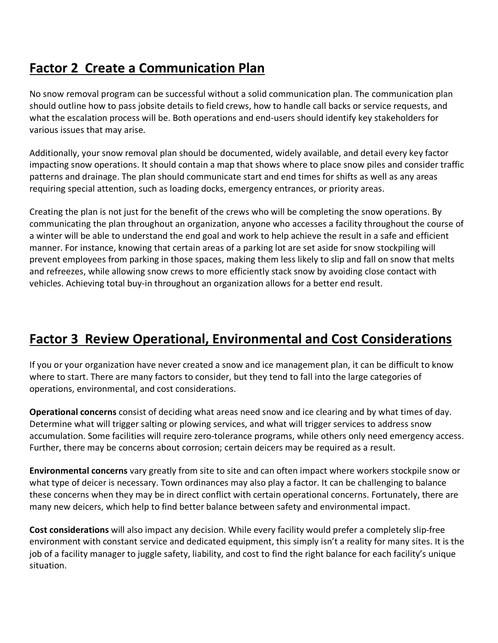## **Factor 2 Create a Communication Plan**

No snow removal program can be successful without a solid communication plan. The communication plan should outline how to pass jobsite details to field crews, how to handle call backs or service requests, and what the escalation process will be. Both operations and end-users should identify key stakeholders for various issues that may arise.

Additionally, your snow removal plan should be documented, widely available, and detail every key factor impacting snow operations. It should contain a map that shows where to place snow piles and consider traffic patterns and drainage. The plan should communicate start and end times for shifts as well as any areas requiring special attention, such as loading docks, emergency entrances, or priority areas.

Creating the plan is not just for the benefit of the crews who will be completing the snow operations. By communicating the plan throughout an organization, anyone who accesses a facility throughout the course of a winter will be able to understand the end goal and work to help achieve the result in a safe and efficient manner. For instance, knowing that certain areas of a parking lot are set aside for snow stockpiling will prevent employees from parking in those spaces, making them less likely to slip and fall on snow that melts and refreezes, while allowing snow crews to more efficiently stack snow by avoiding close contact with vehicles. Achieving total buy-in throughout an organization allows for a better end result.

### **Factor 3 Review Operational, Environmental and Cost Considerations**

If you or your organization have never created a snow and ice management plan, it can be difficult to know where to start. There are many factors to consider, but they tend to fall into the large categories of operations, environmental, and cost considerations.

**Operational concerns** consist of deciding what areas need snow and ice clearing and by what times of day. Determine what will trigger salting or plowing services, and what will trigger services to address snow accumulation. Some facilities will require zero-tolerance programs, while others only need emergency access. Further, there may be concerns about corrosion; certain deicers may be required as a result.

**Environmental concerns** vary greatly from site to site and can often impact where workers stockpile snow or what type of deicer is necessary. Town ordinances may also play a factor. It can be challenging to balance these concerns when they may be in direct conflict with certain operational concerns. Fortunately, there are many new deicers, which help to find better balance between safety and environmental impact.

**Cost considerations** will also impact any decision. While every facility would prefer a completely slip-free environment with constant service and dedicated equipment, this simply isn't a reality for many sites. It is the job of a facility manager to juggle safety, liability, and cost to find the right balance for each facility's unique situation.